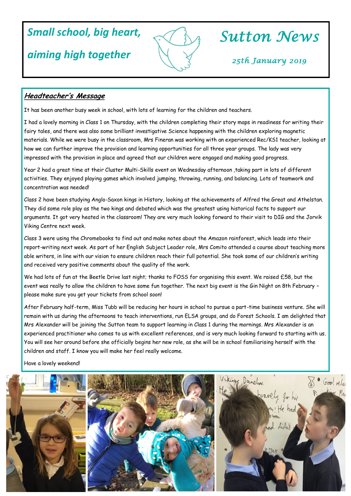# *Small school, big heart,*

## *aiming high together*



# *Sutton News*

*25th January 2019*

### **Headteacher's Message**

It has been another busy week in school, with lots of learning for the children and teachers.

I had a lovely morning in Class 1 on Thursday, with the children completing their story maps in readiness for writing their fairy tales, and there was also some brilliant investigative Science happening with the children exploring magnetic materials. While we were busy in the classroom, Mrs Fineran was working with an experienced Rec/KS1 teacher, looking at how we can further improve the provision and learning opportunities for all three year groups. The lady was very impressed with the provision in place and agreed that our children were engaged and making good progress.

Year 2 had a great time at their Cluster Multi-Skills event on Wednesday afternoon ,taking part in lots of different activities. They enjoyed playing games which involved jumping, throwing, running, and balancing. Lots of teamwork and concentration was needed!

Class 2 have been studying Anglo-Saxon kings in History, looking at the achievements of Alfred the Great and Athelstan. They did some role play as the two kings and debated which was the greatest using historical facts to support our arguments. It got very heated in the classroom! They are very much looking forward to their visit to DIG and the Jorvik Viking Centre next week.

Class 3 were using the Chromebooks to find out and make notes about the Amazon rainforest, which leads into their report-writing next week. As part of her English Subject Leader role, Mrs Comito attended a course about teaching more able writers, in line with our vision to ensure children reach their full potential. She took some of our children's writing and received very positive comments about the quality of the work.

We had lots of fun at the Beetle Drive last night; thanks to FOSS for organising this event. We raised £58, but the event was really to allow the children to have some fun together. The next big event is the Gin Night on 8th February – please make sure you get your tickets from school soon!

After February half-term, Miss Tubb will be reducing her hours in school to pursue a part-time business venture. She will remain with us during the afternoons to teach interventions, run ELSA groups, and do Forest Schools. I am delighted that Mrs Alexander will be joining the Sutton team to support learning in Class 1 during the mornings. Mrs Alexander is an experienced practitioner who comes to us with excellent references, and is very much looking forward to starting with us. You will see her around before she officially begins her new role, as she will be in school familiarising herself with the children and staff. I know you will make her feel really welcome.

Have a lovely weekend!

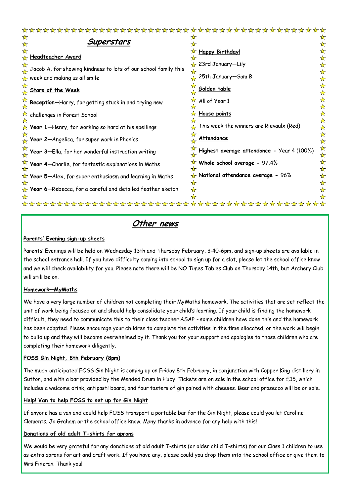| $\frac{1}{2} \left( \frac{1}{2} \right) \frac{1}{2} \left( \frac{1}{2} \right) \frac{1}{2} \left( \frac{1}{2} \right) \frac{1}{2} \left( \frac{1}{2} \right) \frac{1}{2} \left( \frac{1}{2} \right) \frac{1}{2} \left( \frac{1}{2} \right) \frac{1}{2} \left( \frac{1}{2} \right) \frac{1}{2} \left( \frac{1}{2} \right) \frac{1}{2} \left( \frac{1}{2} \right) \frac{1}{2} \left( \frac{1}{2} \right) \frac{1}{2} \left( \frac{1}{2} \right)$<br><b>SP SP</b> | $\overline{\mathbf{r}}$ | <u>לך לך לך א</u> ך                        |                              |
|----------------------------------------------------------------------------------------------------------------------------------------------------------------------------------------------------------------------------------------------------------------------------------------------------------------------------------------------------------------------------------------------------------------------------------------------------------------|-------------------------|--------------------------------------------|------------------------------|
| Superstars                                                                                                                                                                                                                                                                                                                                                                                                                                                     |                         |                                            | ☆                            |
| <b>Headteacher Award</b>                                                                                                                                                                                                                                                                                                                                                                                                                                       |                         | <b>Happy Birthday!</b>                     | ☆<br>☆                       |
| $\curvearrowright$ Jacob A, for showing kindness to lots of our school family this                                                                                                                                                                                                                                                                                                                                                                             |                         | 23rd January-Lily                          | ☆<br>☆                       |
| $\star$ week and making us all smile                                                                                                                                                                                                                                                                                                                                                                                                                           |                         | 25th January-Sam B                         | ☆                            |
| <u>Stars of the Week </u>                                                                                                                                                                                                                                                                                                                                                                                                                                      |                         | Golden table                               | ☆<br>☆                       |
| Reception-Harry, for getting stuck in and trying new                                                                                                                                                                                                                                                                                                                                                                                                           |                         | All of Year 1                              | ☆<br>☆                       |
| $\sqrt{2}$ challenges in Forest School                                                                                                                                                                                                                                                                                                                                                                                                                         |                         | House points                               | ☆<br>☆                       |
| $\star$ Year 1—Henry, for working so hard at his spellings                                                                                                                                                                                                                                                                                                                                                                                                     |                         | This week the winners are Rievaulx (Red)   | $\frac{1}{\mathcal{N}}$      |
| $\overline{P}$ Year 2—Angelica, for super work in Phonics                                                                                                                                                                                                                                                                                                                                                                                                      |                         | <u>Attendance</u>                          | ☆<br>☆                       |
| Year 3-Ella, for her wonderful instruction writing                                                                                                                                                                                                                                                                                                                                                                                                             |                         | Highest average attendance - Year 4 (100%) | ☆<br>$\frac{1}{\mathcal{N}}$ |
| Year 4-Charlie, for fantastic explanations in Maths                                                                                                                                                                                                                                                                                                                                                                                                            |                         | Whole school average - 97.4%               | ☆<br>☆                       |
| $\overleftrightarrow{\mathbf{x}}$ Year 5—Alex, for super enthusiasm and learning in Maths                                                                                                                                                                                                                                                                                                                                                                      |                         | $\star$ National attendance average - 96%  | ☆<br>☆                       |
| $\star$ Year 6—Rebecca, for a careful and detailed feather sketch                                                                                                                                                                                                                                                                                                                                                                                              |                         |                                            |                              |
|                                                                                                                                                                                                                                                                                                                                                                                                                                                                |                         |                                            |                              |

## **Other news**

#### **Parents' Evening sign-up sheets**

Parents' Evenings will be held on Wednesday 13th and Thursday February, 3:40-6pm, and sign-up sheets are available in the school entrance hall. If you have difficulty coming into school to sign up for a slot, please let the school office know and we will check availability for you. Please note there will be NO Times Tables Club on Thursday 14th, but Archery Club will still be on.

#### **Homework—MyMaths**

We have a very large number of children not completing their MyMaths homework. The activities that are set reflect the unit of work being focused on and should help consolidate your child's learning. If your child is finding the homework difficult, they need to communicate this to their class teacher ASAP - some children have done this and the homework has been adapted. Please encourage your children to complete the activities in the time allocated, or the work will begin to build up and they will become overwhelmed by it. Thank you for your support and apologies to those children who are completing their homework diligently.

#### **FOSS Gin Night, 8th February (8pm)**

The much-anticipated FOSS Gin Night is coming up on Friday 8th February, in conjunction with Copper King distillery in Sutton, and with a bar provided by the Mended Drum in Huby. Tickets are on sale in the school office for £15, which includes a welcome drink, antipasti board, and four tasters of gin paired with cheeses. Beer and prosecco will be on sale.

#### **Help! Van to help FOSS to set up for Gin Night**

If anyone has a van and could help FOSS transport a portable bar for the Gin Night, please could you let Caroline Clements, Jo Graham or the school office know. Many thanks in advance for any help with this!

#### **Donations of old adult T-shirts for aprons**

We would be very grateful for any donations of old adult T-shirts (or older child T-shirts) for our Class 1 children to use as extra aprons for art and craft work. If you have any, please could you drop them into the school office or give them to Mrs Fineran. Thank you!